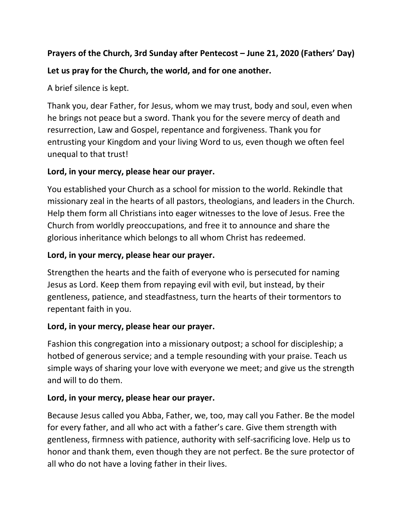# **Prayers of the Church, 3rd Sunday after Pentecost – June 21, 2020 (Fathers' Day)**

# **Let us pray for the Church, the world, and for one another.**

A brief silence is kept.

Thank you, dear Father, for Jesus, whom we may trust, body and soul, even when he brings not peace but a sword. Thank you for the severe mercy of death and resurrection, Law and Gospel, repentance and forgiveness. Thank you for entrusting your Kingdom and your living Word to us, even though we often feel unequal to that trust!

# **Lord, in your mercy, please hear our prayer.**

You established your Church as a school for mission to the world. Rekindle that missionary zeal in the hearts of all pastors, theologians, and leaders in the Church. Help them form all Christians into eager witnesses to the love of Jesus. Free the Church from worldly preoccupations, and free it to announce and share the glorious inheritance which belongs to all whom Christ has redeemed.

# **Lord, in your mercy, please hear our prayer.**

Strengthen the hearts and the faith of everyone who is persecuted for naming Jesus as Lord. Keep them from repaying evil with evil, but instead, by their gentleness, patience, and steadfastness, turn the hearts of their tormentors to repentant faith in you.

# **Lord, in your mercy, please hear our prayer.**

Fashion this congregation into a missionary outpost; a school for discipleship; a hotbed of generous service; and a temple resounding with your praise. Teach us simple ways of sharing your love with everyone we meet; and give us the strength and will to do them.

### **Lord, in your mercy, please hear our prayer.**

Because Jesus called you Abba, Father, we, too, may call you Father. Be the model for every father, and all who act with a father's care. Give them strength with gentleness, firmness with patience, authority with self-sacrificing love. Help us to honor and thank them, even though they are not perfect. Be the sure protector of all who do not have a loving father in their lives.